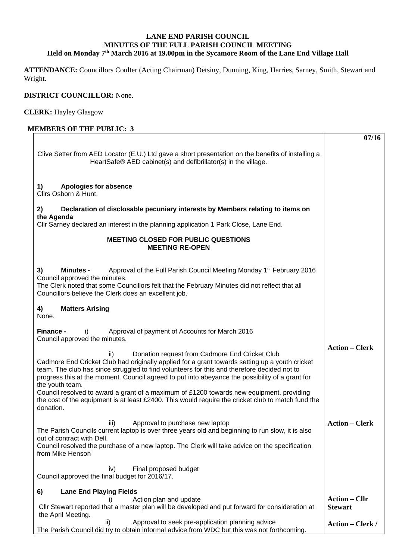## **LANE END PARISH COUNCIL MINUTES OF THE FULL PARISH COUNCIL MEETING Held on Monday 7th March 2016 at 19.00pm in the Sycamore Room of the Lane End Village Hall**

**ATTENDANCE:** Councillors Coulter (Acting Chairman) Detsiny, Dunning, King, Harries, Sarney, Smith, Stewart and Wright.

## **DISTRICT COUNCILLOR:** None.

**CLERK:** Hayley Glasgow

## **MEMBERS OF THE PUBLIC: 3** Clive Setter from AED Locator (E.U.) Ltd gave a short presentation on the benefits of installing a HeartSafe® AED cabinet(s) and defibrillator(s) in the village. **1) Apologies for absence**  Cllrs Osborn & Hunt. **2) Declaration of disclosable pecuniary interests by Members relating to items on the Agenda**  Cllr Sarney declared an interest in the planning application 1 Park Close, Lane End. **MEETING CLOSED FOR PUBLIC QUESTIONS MEETING RE-OPEN 3) Minutes -** Approval of the Full Parish Council Meeting Monday 1st February 2016 Council approved the minutes. The Clerk noted that some Councillors felt that the February Minutes did not reflect that all Councillors believe the Clerk does an excellent job. **4) Matters Arising**  None. **Finance -** i)Approval of payment of Accounts for March 2016 Council approved the minutes. ii) Donation request from Cadmore End Cricket Club Cadmore End Cricket Club had originally applied for a grant towards setting up a youth cricket team. The club has since struggled to find volunteers for this and therefore decided not to progress this at the moment. Council agreed to put into abeyance the possibility of a grant for the youth team. Council resolved to award a grant of a maximum of £1200 towards new equipment, providing the cost of the equipment is at least £2400. This would require the cricket club to match fund the donation. iii) Approval to purchase new laptop The Parish Councils current laptop is over three years old and beginning to run slow, it is also out of contract with Dell. Council resolved the purchase of a new laptop. The Clerk will take advice on the specification from Mike Henson iv) Final proposed budget Council approved the final budget for 2016/17. **6) Lane End Playing Fields**  i) Action plan and update Cllr Stewart reported that a master plan will be developed and put forward for consideration at the April Meeting. ii) Approval to seek pre-application planning advice The Parish Council did try to obtain informal advice from WDC but this was not forthcoming. **07/16 Action – Clerk Action – Clerk Action – Cllr Stewart Action – Clerk /**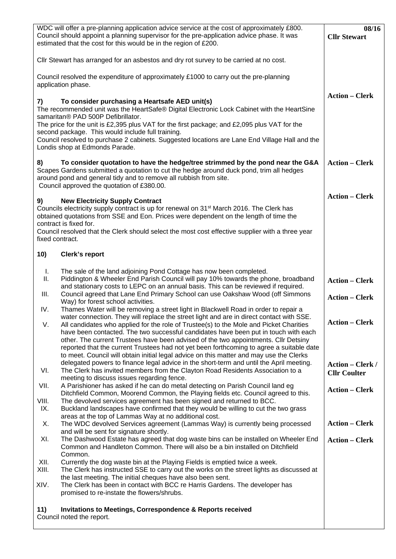| WDC will offer a pre-planning application advice service at the cost of approximately £800.<br>Council should appoint a planning supervisor for the pre-application advice phase. It was                                                                                                           | 08/16<br><b>Cllr Stewart</b>                   |
|----------------------------------------------------------------------------------------------------------------------------------------------------------------------------------------------------------------------------------------------------------------------------------------------------|------------------------------------------------|
| estimated that the cost for this would be in the region of £200.                                                                                                                                                                                                                                   |                                                |
| Cllr Stewart has arranged for an asbestos and dry rot survey to be carried at no cost.                                                                                                                                                                                                             |                                                |
| Council resolved the expenditure of approximately £1000 to carry out the pre-planning<br>application phase.                                                                                                                                                                                        |                                                |
| To consider purchasing a Heartsafe AED unit(s)                                                                                                                                                                                                                                                     | <b>Action - Clerk</b>                          |
| 7)<br>The recommended unit was the HeartSafe® Digital Electronic Lock Cabinet with the HeartSine                                                                                                                                                                                                   |                                                |
| samaritan® PAD 500P Defibrillator.<br>The price for the unit is £2,395 plus VAT for the first package; and £2,095 plus VAT for the                                                                                                                                                                 |                                                |
| second package. This would include full training.<br>Council resolved to purchase 2 cabinets. Suggested locations are Lane End Village Hall and the                                                                                                                                                |                                                |
| Londis shop at Edmonds Parade.                                                                                                                                                                                                                                                                     |                                                |
| 8)<br>To consider quotation to have the hedge/tree strimmed by the pond near the G&A<br>Scapes Gardens submitted a quotation to cut the hedge around duck pond, trim all hedges<br>around pond and general tidy and to remove all rubbish from site.<br>Council approved the quotation of £380.00. | <b>Action – Clerk</b>                          |
|                                                                                                                                                                                                                                                                                                    | <b>Action – Clerk</b>                          |
| <b>New Electricity Supply Contract</b><br>9)<br>Councils electricity supply contract is up for renewal on 31 <sup>st</sup> March 2016. The Clerk has<br>obtained quotations from SSE and Eon. Prices were dependent on the length of time the                                                      |                                                |
| contract is fixed for.<br>Council resolved that the Clerk should select the most cost effective supplier with a three year<br>fixed contract.                                                                                                                                                      |                                                |
| 10)<br><b>Clerk's report</b>                                                                                                                                                                                                                                                                       |                                                |
| The sale of the land adjoining Pond Cottage has now been completed.<br>I.                                                                                                                                                                                                                          |                                                |
| Piddington & Wheeler End Parish Council will pay 10% towards the phone, broadband<br>Ш.<br>and stationary costs to LEPC on an annual basis. This can be reviewed if required.                                                                                                                      | <b>Action - Clerk</b>                          |
| Council agreed that Lane End Primary School can use Oakshaw Wood (off Simmons<br>III.<br>Way) for forest school activities.                                                                                                                                                                        | <b>Action – Clerk</b>                          |
| IV.<br>Thames Water will be removing a street light in Blackwell Road in order to repair a<br>water connection. They will replace the street light and are in direct contact with SSE.                                                                                                             |                                                |
| V.<br>All candidates who applied for the role of Trustee(s) to the Mole and Picket Charities<br>have been contacted. The two successful candidates have been put in touch with each                                                                                                                | <b>Action - Clerk</b>                          |
| other. The current Trustees have been advised of the two appointments. Cllr Detsiny<br>reported that the current Trustees had not yet been forthcoming to agree a suitable date                                                                                                                    |                                                |
| to meet. Council will obtain initial legal advice on this matter and may use the Clerks                                                                                                                                                                                                            |                                                |
| delegated powers to finance legal advice in the short-term and until the April meeting.<br>VI.<br>The Clerk has invited members from the Clayton Road Residents Association to a<br>meeting to discuss issues regarding fence.                                                                     | <b>Action – Clerk /</b><br><b>Cllr Coulter</b> |
| VII.<br>A Parishioner has asked if he can do metal detecting on Parish Council land eg                                                                                                                                                                                                             | <b>Action – Clerk</b>                          |
| Ditchfield Common, Moorend Common, the Playing fields etc. Council agreed to this.<br>VIII.<br>The devolved services agreement has been signed and returned to BCC.                                                                                                                                |                                                |
| IX.<br>Buckland landscapes have confirmed that they would be willing to cut the two grass<br>areas at the top of Lammas Way at no additional cost.                                                                                                                                                 |                                                |
| The WDC devolved Services agreement (Lammas Way) is currently being processed<br>Χ.<br>and will be sent for signature shortly.                                                                                                                                                                     | <b>Action – Clerk</b>                          |
| The Dashwood Estate has agreed that dog waste bins can be installed on Wheeler End<br>XI.<br>Common and Handleton Common. There will also be a bin installed on Ditchfield                                                                                                                         | <b>Action – Clerk</b>                          |
| Common.                                                                                                                                                                                                                                                                                            |                                                |
| XII.<br>Currently the dog waste bin at the Playing Fields is emptied twice a week.<br>XIII.<br>The Clerk has instructed SSE to carry out the works on the street lights as discussed at                                                                                                            |                                                |
| the last meeting. The initial cheques have also been sent.<br>XIV.<br>The Clerk has been in contact with BCC re Harris Gardens. The developer has                                                                                                                                                  |                                                |
| promised to re-instate the flowers/shrubs.                                                                                                                                                                                                                                                         |                                                |
| <b>Invitations to Meetings, Correspondence &amp; Reports received</b><br>11)<br>Council noted the report.                                                                                                                                                                                          |                                                |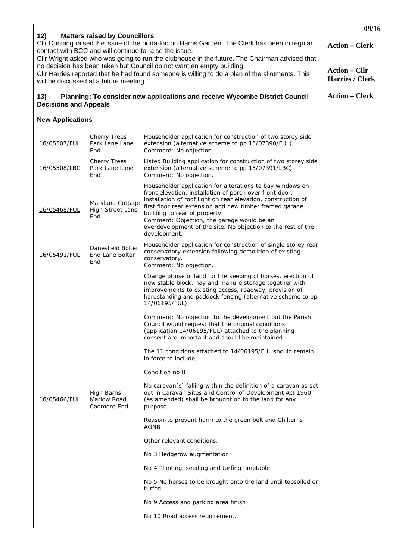| 12)<br><b>Matters raised by Councillors</b>                                                                                                                                                                                                               | 09/16                                              |                                                                                                                                                                                                                                                                                                                                                                                                                |                                         |
|-----------------------------------------------------------------------------------------------------------------------------------------------------------------------------------------------------------------------------------------------------------|----------------------------------------------------|----------------------------------------------------------------------------------------------------------------------------------------------------------------------------------------------------------------------------------------------------------------------------------------------------------------------------------------------------------------------------------------------------------------|-----------------------------------------|
| Cllr Dunning raised the issue of the porta-loo on Harris Garden. The Clerk has been in regular<br>contact with BCC and will continue to raise the issue.<br>Cllr Wright asked who was going to run the clubhouse in the future. The Chairman advised that | <b>Action – Clerk</b>                              |                                                                                                                                                                                                                                                                                                                                                                                                                |                                         |
|                                                                                                                                                                                                                                                           | will be discussed at a future meeting.             | no decision has been taken but Council do not want an empty building.<br>CIIr Harries reported that he had found someone is willing to do a plan of the allotments. This                                                                                                                                                                                                                                       | <b>Action – Cllr</b><br>Harries / Clerk |
| Planning: To consider new applications and receive Wycombe District Council<br>13)<br><b>Decisions and Appeals</b>                                                                                                                                        | <b>Action – Clerk</b>                              |                                                                                                                                                                                                                                                                                                                                                                                                                |                                         |
| <b>New Applications</b>                                                                                                                                                                                                                                   |                                                    |                                                                                                                                                                                                                                                                                                                                                                                                                |                                         |
| 16/05507/FUL                                                                                                                                                                                                                                              | <b>Cherry Trees</b><br>Park Lane Lane<br>End       | Householder application for construction of two storey side<br>extension (alternative scheme to pp 15/07390/FUL)<br>Comment: No objection.                                                                                                                                                                                                                                                                     |                                         |
| 16/05508/LBC                                                                                                                                                                                                                                              | <b>Cherry Trees</b><br>Park Lane Lane<br>End       | Listed Building application for construction of two storey side<br>extension (alternative scheme to pp 15/07391/LBC)<br>Comment: No objection.                                                                                                                                                                                                                                                                 |                                         |
| 16/05468/FUL                                                                                                                                                                                                                                              | Maryland Cottage<br><b>High Street Lane</b><br>End | Householder application for alterations to bay windows on<br>front elevation, installation of porch over front door,<br>installation of roof light on rear elevation, construction of<br>first floor rear extension and new timber framed garage<br>building to rear of property<br>Comment: Objection, the garage would be an<br>overdevelopment of the site. No objection to the rest of the<br>development. |                                         |
| 16/05491/FUL                                                                                                                                                                                                                                              | Danesfield Bolter<br>End Lane Bolter<br>End        | Householder application for construction of single storey rear<br>conservatory extension following demolition of existing<br>conservatory.<br>Comment: No objection.                                                                                                                                                                                                                                           |                                         |
|                                                                                                                                                                                                                                                           |                                                    | Change of use of land for the keeping of horses, erection of<br>new stable block, hay and manure storage together with<br>improvements to existing access, roadway, provision of<br>hardstanding and paddock fencing (alternative scheme to pp<br>14/06195/FUL)                                                                                                                                                |                                         |
|                                                                                                                                                                                                                                                           |                                                    | Comment: No objection to the development but the Parish<br>Council would request that the original conditions<br>(application 14/06195/FUL) attached to the planning<br>consent are important and should be maintained.                                                                                                                                                                                        |                                         |
|                                                                                                                                                                                                                                                           |                                                    | The 11 conditions attached to 14/06195/FUL should remain<br>in force to include;                                                                                                                                                                                                                                                                                                                               |                                         |
|                                                                                                                                                                                                                                                           |                                                    | Condition no 8                                                                                                                                                                                                                                                                                                                                                                                                 |                                         |
| 16/05466/FUL                                                                                                                                                                                                                                              | High Barns<br>Marlow Road<br>Cadmore End           | No caravan(s) falling within the definition of a caravan as set<br>out in Caravan Sites and Control of Development Act 1960<br>(as amended) shall be brought on to the land for any<br>purpose.                                                                                                                                                                                                                |                                         |
|                                                                                                                                                                                                                                                           |                                                    | Reason-to prevent harm to the green belt and Chilterns<br>AONB                                                                                                                                                                                                                                                                                                                                                 |                                         |
|                                                                                                                                                                                                                                                           |                                                    | Other relevant conditions:                                                                                                                                                                                                                                                                                                                                                                                     |                                         |
|                                                                                                                                                                                                                                                           |                                                    | No 3 Hedgerow augmentation                                                                                                                                                                                                                                                                                                                                                                                     |                                         |
|                                                                                                                                                                                                                                                           |                                                    | No 4 Planting, seeding and turfing timetable                                                                                                                                                                                                                                                                                                                                                                   |                                         |
|                                                                                                                                                                                                                                                           |                                                    | No 5 No horses to be brought onto the land until topsoiled or<br>turfed                                                                                                                                                                                                                                                                                                                                        |                                         |
|                                                                                                                                                                                                                                                           |                                                    | No 9 Access and parking area finish                                                                                                                                                                                                                                                                                                                                                                            |                                         |
|                                                                                                                                                                                                                                                           |                                                    | No 10 Road access requirement.                                                                                                                                                                                                                                                                                                                                                                                 |                                         |